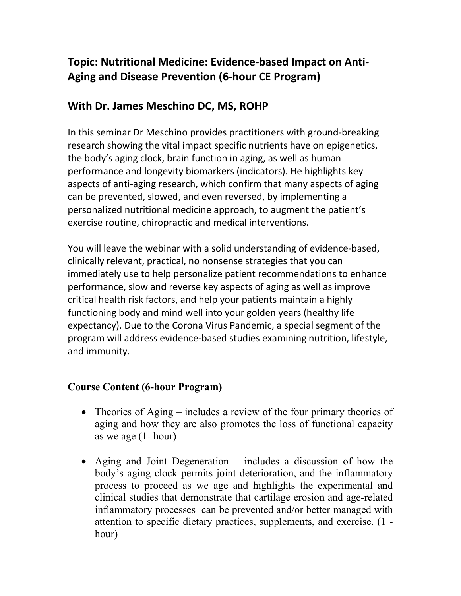## **Topic: Nutritional Medicine: Evidence-based Impact on Anti-Aging and Disease Prevention (6-hour CE Program)**

## **With Dr. James Meschino DC, MS, ROHP**

In this seminar Dr Meschino provides practitioners with ground-breaking research showing the vital impact specific nutrients have on epigenetics, the body's aging clock, brain function in aging, as well as human performance and longevity biomarkers (indicators). He highlights key aspects of anti-aging research, which confirm that many aspects of aging can be prevented, slowed, and even reversed, by implementing a personalized nutritional medicine approach, to augment the patient's exercise routine, chiropractic and medical interventions.

You will leave the webinar with a solid understanding of evidence-based, clinically relevant, practical, no nonsense strategies that you can immediately use to help personalize patient recommendations to enhance performance, slow and reverse key aspects of aging as well as improve critical health risk factors, and help your patients maintain a highly functioning body and mind well into your golden years (healthy life expectancy). Due to the Corona Virus Pandemic, a special segment of the program will address evidence-based studies examining nutrition, lifestyle, and immunity.

## **Course Content (6-hour Program)**

- Theories of Aging includes a review of the four primary theories of aging and how they are also promotes the loss of functional capacity as we age (1- hour)
- Aging and Joint Degeneration includes a discussion of how the body's aging clock permits joint deterioration, and the inflammatory process to proceed as we age and highlights the experimental and clinical studies that demonstrate that cartilage erosion and age-related inflammatory processes can be prevented and/or better managed with attention to specific dietary practices, supplements, and exercise. (1 hour)